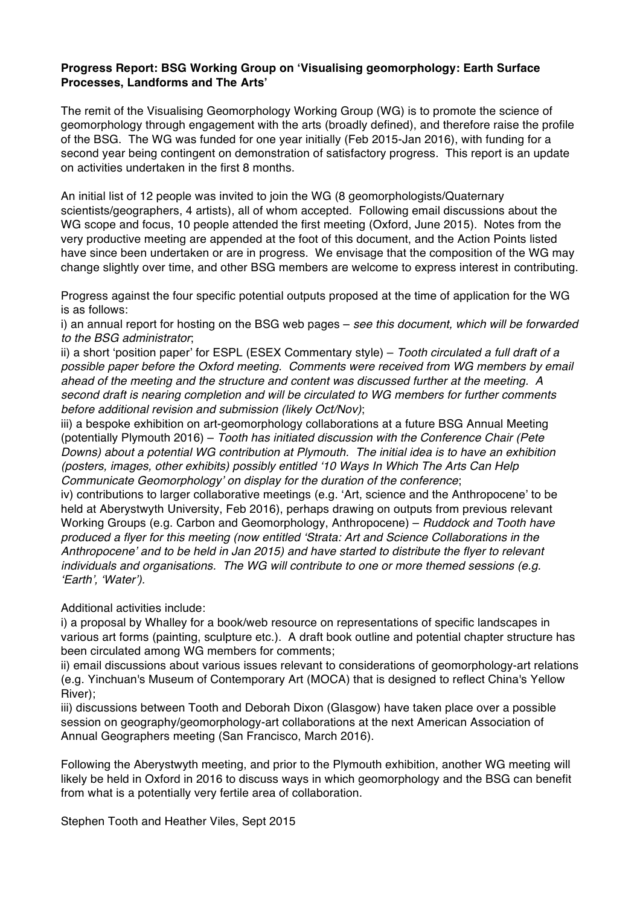## **Progress Report: BSG Working Group on ʻVisualising geomorphology: Earth Surface Processes, Landforms and The Arts'**

The remit of the Visualising Geomorphology Working Group (WG) is to promote the science of geomorphology through engagement with the arts (broadly defined), and therefore raise the profile of the BSG. The WG was funded for one year initially (Feb 2015-Jan 2016), with funding for a second year being contingent on demonstration of satisfactory progress. This report is an update on activities undertaken in the first 8 months.

An initial list of 12 people was invited to join the WG (8 geomorphologists/Quaternary scientists/geographers, 4 artists), all of whom accepted. Following email discussions about the WG scope and focus, 10 people attended the first meeting (Oxford, June 2015). Notes from the very productive meeting are appended at the foot of this document, and the Action Points listed have since been undertaken or are in progress. We envisage that the composition of the WG may change slightly over time, and other BSG members are welcome to express interest in contributing.

Progress against the four specific potential outputs proposed at the time of application for the WG is as follows:

i) an annual report for hosting on the BSG web pages – *see this document, which will be forwarded to the BSG administrator*;

ii) a short ʻposition paper' for ESPL (ESEX Commentary style) – *Tooth circulated a full draft of a possible paper before the Oxford meeting. Comments were received from WG members by email ahead of the meeting and the structure and content was discussed further at the meeting. A second draft is nearing completion and will be circulated to WG members for further comments before additional revision and submission (likely Oct/Nov)*;

iii) a bespoke exhibition on art-geomorphology collaborations at a future BSG Annual Meeting (potentially Plymouth 2016) – *Tooth has initiated discussion with the Conference Chair (Pete Downs) about a potential WG contribution at Plymouth. The initial idea is to have an exhibition (posters, images, other exhibits) possibly entitled* ʻ*10 Ways In Which The Arts Can Help Communicate Geomorphology*' *on display for the duration of the conference*;

iv) contributions to larger collaborative meetings (e.g. ʻArt, science and the Anthropocene' to be held at Aberystwyth University, Feb 2016), perhaps drawing on outputs from previous relevant Working Groups (e.g. Carbon and Geomorphology, Anthropocene) – *Ruddock and Tooth have produced a flyer for this meeting (now entitled* ʻ*Strata: Art and Science Collaborations in the Anthropocene*' *and to be held in Jan 2015) and have started to distribute the flyer to relevant individuals and organisations. The WG will contribute to one or more themed sessions (e.g.*  ʻ*Earth*'*,* ʻ*Water*'*).*

Additional activities include:

i) a proposal by Whalley for a book/web resource on representations of specific landscapes in various art forms (painting, sculpture etc.). A draft book outline and potential chapter structure has been circulated among WG members for comments;

ii) email discussions about various issues relevant to considerations of geomorphology-art relations (e.g. Yinchuan's Museum of Contemporary Art (MOCA) that is designed to reflect China's Yellow River);

iii) discussions between Tooth and Deborah Dixon (Glasgow) have taken place over a possible session on geography/geomorphology-art collaborations at the next American Association of Annual Geographers meeting (San Francisco, March 2016).

Following the Aberystwyth meeting, and prior to the Plymouth exhibition, another WG meeting will likely be held in Oxford in 2016 to discuss ways in which geomorphology and the BSG can benefit from what is a potentially very fertile area of collaboration.

Stephen Tooth and Heather Viles, Sept 2015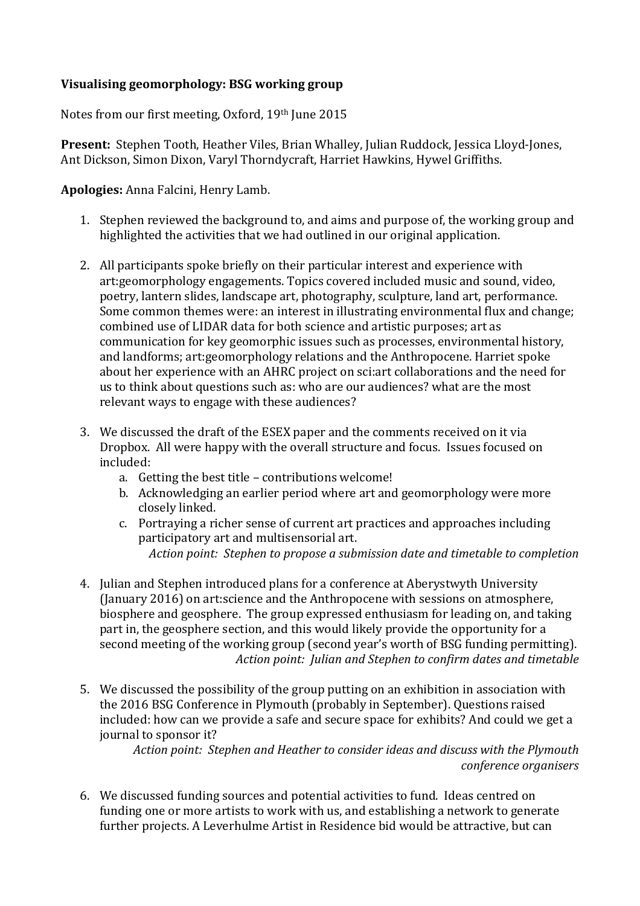## **Visualising!geomorphology:!BSG!working!group**

Notes from our first meeting, Oxford, 19th June 2015

**Present:** Stephen Tooth, Heather Viles, Brian Whalley, Julian Ruddock, Jessica Lloyd-Jones, Ant Dickson, Simon Dixon, Varyl Thorndycraft, Harriet Hawkins, Hywel Griffiths.

**Apologies:** Anna Falcini, Henry Lamb.

- 1. Stephen reviewed the background to, and aims and purpose of, the working group and highlighted the activities that we had outlined in our original application.
- 2. All participants spoke briefly on their particular interest and experience with art:geomorphology engagements. Topics covered included music and sound, video, poetry, lantern slides, landscape art, photography, sculpture, land art, performance. Some common themes were: an interest in illustrating environmental flux and change; combined use of LIDAR data for both science and artistic purposes; art as communication for key geomorphic issues such as processes, environmental history, and landforms; art:geomorphology relations and the Anthropocene. Harriet spoke about her experience with an AHRC project on sci:art collaborations and the need for us to think about questions such as: who are our audiences? what are the most relevant ways to engage with these audiences?
- 3. We discussed the draft of the ESEX paper and the comments received on it via Dropbox. All were happy with the overall structure and focus. Issues focused on included:
	- a. Getting the best title contributions welcome!
	- b. Acknowledging an earlier period where art and geomorphology were more closely linked.
	- c. Portraying a richer sense of current art practices and approaches including participatory art and multisensorial art. Action point: Stephen to propose a submission date and timetable to completion
- 4. Julian and Stephen introduced plans for a conference at Aberystwyth University (January 2016) on art:science and the Anthropocene with sessions on atmosphere, biosphere and geosphere. The group expressed enthusiasm for leading on, and taking part in, the geosphere section, and this would likely provide the opportunity for a second meeting of the working group (second year's worth of BSG funding permitting). Action point: Julian and Stephen to confirm dates and timetable
- 5. We discussed the possibility of the group putting on an exhibition in association with the 2016 BSG Conference in Plymouth (probably in September). Questions raised included: how can we provide a safe and secure space for exhibits? And could we get a journal to sponsor it?

*Action'point:''Stephen'and'Heather'to'consider'ideas'and'discuss'with'the'Plymouth' conference'organisers*

6. We discussed funding sources and potential activities to fund. Ideas centred on funding one or more artists to work with us, and establishing a network to generate further projects. A Leverhulme Artist in Residence bid would be attractive, but can